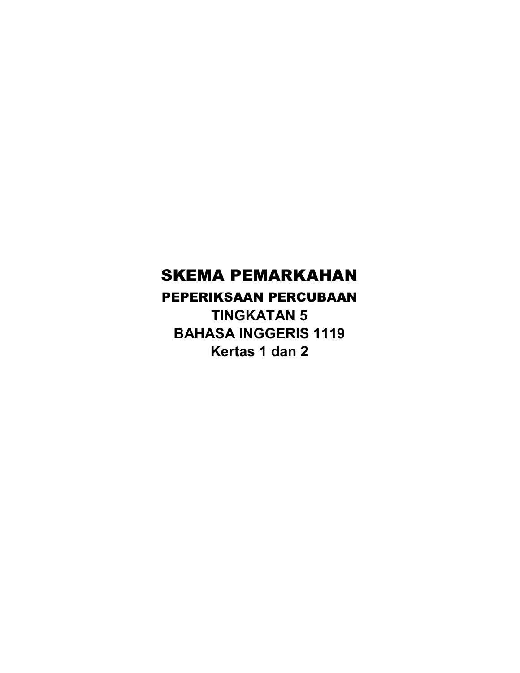# SKEMA PEMARKAHAN

PEPERIKSAAN PERCUBAAN

TINGKATAN 5 BAHASA INGGERIS 1119 Kertas 1 dan 2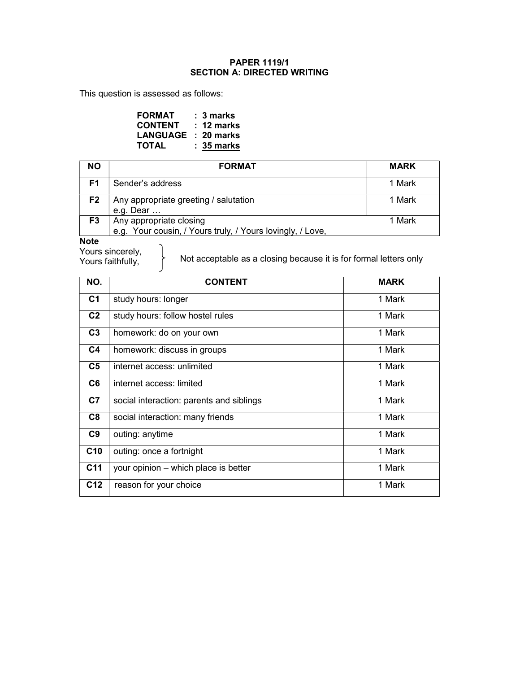#### PAPER 1119/1 SECTION A: DIRECTED WRITING

This question is assessed as follows:

 $\begin{array}{c} \end{array}$ 

| <b>FORMAT</b>       | $: 3$ marks  |
|---------------------|--------------|
| <b>CONTENT</b>      | : 12 marks   |
| LANGUAGE : 20 marks |              |
| <b>TOTAL</b>        | $: 35$ marks |

| <b>NO</b>      | <b>FORMAT</b>                                                                         | <b>MARK</b> |
|----------------|---------------------------------------------------------------------------------------|-------------|
| F1             | Sender's address                                                                      | 1 Mark      |
| F <sub>2</sub> | Any appropriate greeting / salutation<br>e.g. Dear $\dots$                            | 1 Mark      |
| F <sub>3</sub> | Any appropriate closing<br>e.g. Your cousin, / Yours truly, / Yours lovingly, / Love, | 1 Mark      |
| <b>Nata</b>    |                                                                                       |             |

Note

Yours sincerely, Yours faithfully,

Not acceptable as a closing because it is for formal letters only

| NO.             | <b>CONTENT</b>                           | <b>MARK</b> |
|-----------------|------------------------------------------|-------------|
| C <sub>1</sub>  | study hours: longer                      | 1 Mark      |
| C <sub>2</sub>  | study hours: follow hostel rules         | 1 Mark      |
| C <sub>3</sub>  | homework: do on your own                 | 1 Mark      |
| C4              | homework: discuss in groups              | 1 Mark      |
| C5              | internet access: unlimited               | 1 Mark      |
| C <sub>6</sub>  | internet access: limited                 | 1 Mark      |
| C <sub>7</sub>  | social interaction: parents and siblings | 1 Mark      |
| C8              | social interaction: many friends         | 1 Mark      |
| C9              | outing: anytime                          | 1 Mark      |
| C10             | outing: once a fortnight                 | 1 Mark      |
| C <sub>11</sub> | your opinion – which place is better     | 1 Mark      |
| C <sub>12</sub> | reason for your choice                   | 1 Mark      |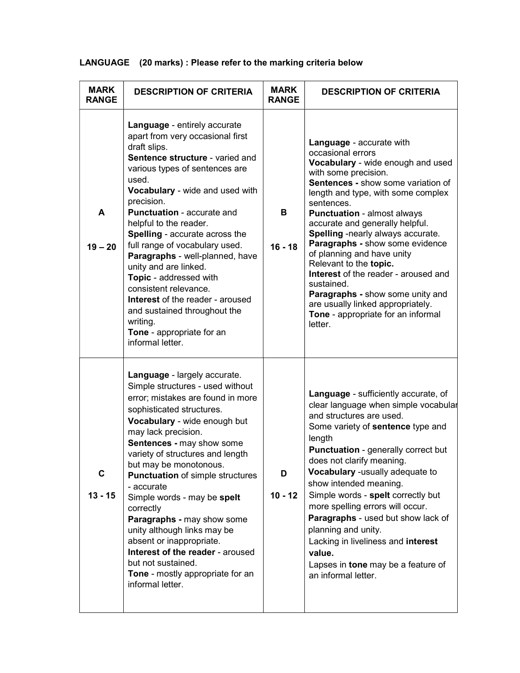|  |  |  | LANGUAGE (20 marks): Please refer to the marking criteria below |
|--|--|--|-----------------------------------------------------------------|
|--|--|--|-----------------------------------------------------------------|

| <b>MARK</b><br><b>RANGE</b> | <b>DESCRIPTION OF CRITERIA</b>                                                                                                                                                                                                                                                                                                                                                                                                                                                                                                                                                                                     | <b>MARK</b><br><b>RANGE</b> | <b>DESCRIPTION OF CRITERIA</b>                                                                                                                                                                                                                                                                                                                                                                                                                                                                                                                                                                       |
|-----------------------------|--------------------------------------------------------------------------------------------------------------------------------------------------------------------------------------------------------------------------------------------------------------------------------------------------------------------------------------------------------------------------------------------------------------------------------------------------------------------------------------------------------------------------------------------------------------------------------------------------------------------|-----------------------------|------------------------------------------------------------------------------------------------------------------------------------------------------------------------------------------------------------------------------------------------------------------------------------------------------------------------------------------------------------------------------------------------------------------------------------------------------------------------------------------------------------------------------------------------------------------------------------------------------|
| A<br>$19 - 20$              | Language - entirely accurate<br>apart from very occasional first<br>draft slips.<br>Sentence structure - varied and<br>various types of sentences are<br>used.<br>Vocabulary - wide and used with<br>precision.<br><b>Punctuation - accurate and</b><br>helpful to the reader.<br>Spelling - accurate across the<br>full range of vocabulary used.<br>Paragraphs - well-planned, have<br>unity and are linked.<br>Topic - addressed with<br>consistent relevance.<br><b>Interest</b> of the reader - aroused<br>and sustained throughout the<br>writing.<br>Tone - appropriate for an<br>informal letter.          | в<br>$16 - 18$              | Language - accurate with<br>occasional errors<br>Vocabulary - wide enough and used<br>with some precision.<br><b>Sentences - show some variation of</b><br>length and type, with some complex<br>sentences.<br><b>Punctuation - almost always</b><br>accurate and generally helpful.<br>Spelling -nearly always accurate.<br>Paragraphs - show some evidence<br>of planning and have unity<br>Relevant to the topic.<br>Interest of the reader - aroused and<br>sustained.<br>Paragraphs - show some unity and<br>are usually linked appropriately.<br>Tone - appropriate for an informal<br>letter. |
| C<br>$13 - 15$              | Language - largely accurate.<br>Simple structures - used without<br>error; mistakes are found in more<br>sophisticated structures.<br>Vocabulary - wide enough but<br>may lack precision.<br><b>Sentences - may show some</b><br>variety of structures and length<br>but may be monotonous.<br><b>Punctuation of simple structures</b><br>- accurate<br>Simple words - may be spelt<br>correctly<br>Paragraphs - may show some<br>unity although links may be<br>absent or inappropriate.<br>Interest of the reader - aroused<br>but not sustained.<br><b>Tone</b> - mostly appropriate for an<br>informal letter. | D<br>$10 - 12$              | Language - sufficiently accurate, of<br>clear language when simple vocabular<br>and structures are used.<br>Some variety of sentence type and<br>length<br><b>Punctuation</b> - generally correct but<br>does not clarify meaning.<br>Vocabulary -usually adequate to<br>show intended meaning.<br>Simple words - spelt correctly but<br>more spelling errors will occur.<br>Paragraphs - used but show lack of<br>planning and unity.<br>Lacking in liveliness and interest<br>value.<br>Lapses in tone may be a feature of<br>an informal letter.                                                  |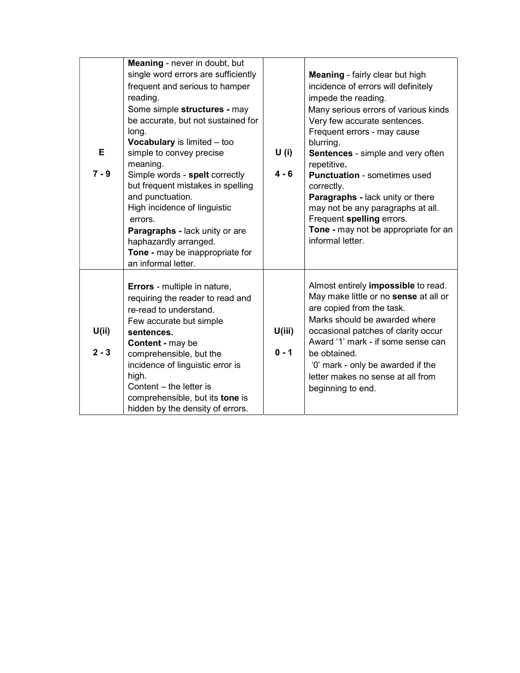| Е<br>$7 - 9$    | Meaning - never in doubt, but<br>single word errors are sufficiently<br>frequent and serious to hamper<br>reading.<br>Some simple structures - may<br>be accurate, but not sustained for<br>long.<br><b>Vocabulary</b> is limited - too<br>simple to convey precise<br>meaning.<br>Simple words - spelt correctly<br>but frequent mistakes in spelling<br>and punctuation.<br>High incidence of linguistic<br>errors.<br>Paragraphs - lack unity or are<br>haphazardly arranged.<br>Tone - may be inappropriate for<br>an informal letter. | U(i)<br>$4 - 6$   | <b>Meaning</b> - fairly clear but high<br>incidence of errors will definitely<br>impede the reading.<br>Many serious errors of various kinds<br>Very few accurate sentences.<br>Frequent errors - may cause<br>blurring.<br>Sentences - simple and very often<br>repetitive.<br><b>Punctuation - sometimes used</b><br>correctly.<br>Paragraphs - lack unity or there<br>may not be any paragraphs at all.<br>Frequent spelling errors.<br>Tone - may not be appropriate for an<br>informal letter. |
|-----------------|--------------------------------------------------------------------------------------------------------------------------------------------------------------------------------------------------------------------------------------------------------------------------------------------------------------------------------------------------------------------------------------------------------------------------------------------------------------------------------------------------------------------------------------------|-------------------|-----------------------------------------------------------------------------------------------------------------------------------------------------------------------------------------------------------------------------------------------------------------------------------------------------------------------------------------------------------------------------------------------------------------------------------------------------------------------------------------------------|
| U(i)<br>$2 - 3$ | <b>Errors</b> - multiple in nature,<br>requiring the reader to read and<br>re-read to understand.<br>Few accurate but simple<br>sentences.<br>Content - may be<br>comprehensible, but the<br>incidence of linguistic error is<br>high.<br>Content - the letter is<br>comprehensible, but its tone is<br>hidden by the density of errors.                                                                                                                                                                                                   | U(iii)<br>$0 - 1$ | Almost entirely impossible to read.<br>May make little or no sense at all or<br>are copied from the task.<br>Marks should be awarded where<br>occasional patches of clarity occur<br>Award '1' mark - if some sense can<br>be obtained.<br>'0' mark - only be awarded if the<br>letter makes no sense at all from<br>beginning to end.                                                                                                                                                              |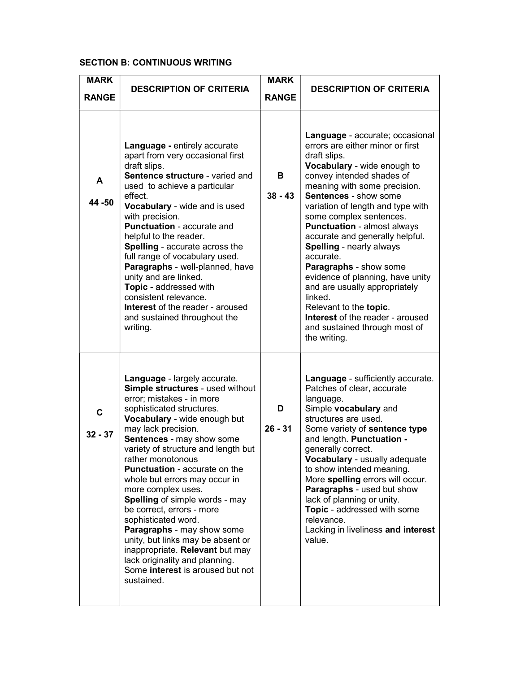#### SECTION B: CONTINUOUS WRITING

| <b>MARK</b>              |                                                                                                                                                                                                                                                                                                                                                                                                                                                                                                                                                                                                                                                                  | <b>MARK</b>    |                                                                                                                                                                                                                                                                                                                                                                                                                                                                                                                                                                                                                           |
|--------------------------|------------------------------------------------------------------------------------------------------------------------------------------------------------------------------------------------------------------------------------------------------------------------------------------------------------------------------------------------------------------------------------------------------------------------------------------------------------------------------------------------------------------------------------------------------------------------------------------------------------------------------------------------------------------|----------------|---------------------------------------------------------------------------------------------------------------------------------------------------------------------------------------------------------------------------------------------------------------------------------------------------------------------------------------------------------------------------------------------------------------------------------------------------------------------------------------------------------------------------------------------------------------------------------------------------------------------------|
| <b>RANGE</b>             | <b>DESCRIPTION OF CRITERIA</b>                                                                                                                                                                                                                                                                                                                                                                                                                                                                                                                                                                                                                                   | <b>RANGE</b>   | <b>DESCRIPTION OF CRITERIA</b>                                                                                                                                                                                                                                                                                                                                                                                                                                                                                                                                                                                            |
| A<br>44 - 50             | Language - entirely accurate<br>apart from very occasional first<br>draft slips.<br>Sentence structure - varied and<br>used to achieve a particular<br>effect.<br>Vocabulary - wide and is used<br>with precision.<br>Punctuation - accurate and<br>helpful to the reader.<br>Spelling - accurate across the<br>full range of vocabulary used.<br>Paragraphs - well-planned, have<br>unity and are linked.<br>Topic - addressed with<br>consistent relevance.<br><b>Interest</b> of the reader - aroused<br>and sustained throughout the<br>writing.                                                                                                             | в<br>$38 - 43$ | Language - accurate; occasional<br>errors are either minor or first<br>draft slips.<br>Vocabulary - wide enough to<br>convey intended shades of<br>meaning with some precision.<br><b>Sentences - show some</b><br>variation of length and type with<br>some complex sentences.<br><b>Punctuation - almost always</b><br>accurate and generally helpful.<br>Spelling - nearly always<br>accurate.<br>Paragraphs - show some<br>evidence of planning, have unity<br>and are usually appropriately<br>linked<br>Relevant to the topic.<br>Interest of the reader - aroused<br>and sustained through most of<br>the writing. |
| $\mathbf C$<br>$32 - 37$ | Language - largely accurate.<br>Simple structures - used without<br>error; mistakes - in more<br>sophisticated structures.<br>Vocabulary - wide enough but<br>may lack precision.<br>Sentences - may show some<br>variety of structure and length but<br>rather monotonous<br><b>Punctuation - accurate on the</b><br>whole but errors may occur in<br>more complex uses.<br><b>Spelling of simple words - may</b><br>be correct, errors - more<br>sophisticated word.<br>Paragraphs - may show some<br>unity, but links may be absent or<br>inappropriate. Relevant but may<br>lack originality and planning.<br>Some interest is aroused but not<br>sustained. | D<br>$26 - 31$ | Language - sufficiently accurate.<br>Patches of clear, accurate<br>language.<br>Simple vocabulary and<br>structures are used.<br>Some variety of sentence type<br>and length. Punctuation -<br>generally correct.<br>Vocabulary - usually adequate<br>to show intended meaning.<br>More spelling errors will occur.<br>Paragraphs - used but show<br>lack of planning or unity.<br>Topic - addressed with some<br>relevance.<br>Lacking in liveliness and interest<br>value.                                                                                                                                              |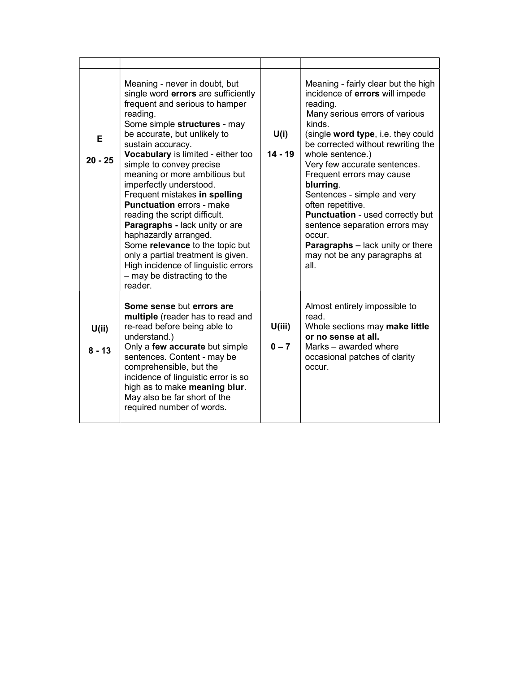| Е<br>$20 - 25$   | Meaning - never in doubt, but<br>single word errors are sufficiently<br>frequent and serious to hamper<br>reading.<br>Some simple structures - may<br>be accurate, but unlikely to<br>sustain accuracy.<br>Vocabulary is limited - either too<br>simple to convey precise<br>meaning or more ambitious but<br>imperfectly understood.<br>Frequent mistakes in spelling<br><b>Punctuation errors - make</b><br>reading the script difficult.<br>Paragraphs - lack unity or are<br>haphazardly arranged.<br>Some relevance to the topic but<br>only a partial treatment is given.<br>High incidence of linguistic errors<br>$-$ may be distracting to the<br>reader. | U(i)<br>$14 - 19$ | Meaning - fairly clear but the high<br>incidence of errors will impede<br>reading.<br>Many serious errors of various<br>kinds<br>(single word type, i.e. they could<br>be corrected without rewriting the<br>whole sentence.)<br>Very few accurate sentences.<br>Frequent errors may cause<br>blurring.<br>Sentences - simple and very<br>often repetitive.<br><b>Punctuation - used correctly but</b><br>sentence separation errors may<br>occur.<br><b>Paragraphs - lack unity or there</b><br>may not be any paragraphs at<br>all. |
|------------------|--------------------------------------------------------------------------------------------------------------------------------------------------------------------------------------------------------------------------------------------------------------------------------------------------------------------------------------------------------------------------------------------------------------------------------------------------------------------------------------------------------------------------------------------------------------------------------------------------------------------------------------------------------------------|-------------------|---------------------------------------------------------------------------------------------------------------------------------------------------------------------------------------------------------------------------------------------------------------------------------------------------------------------------------------------------------------------------------------------------------------------------------------------------------------------------------------------------------------------------------------|
| U(i)<br>$8 - 13$ | Some sense but errors are<br>multiple (reader has to read and<br>re-read before being able to<br>understand.)<br>Only a few accurate but simple<br>sentences. Content - may be<br>comprehensible, but the<br>incidence of linguistic error is so<br>high as to make meaning blur.<br>May also be far short of the<br>required number of words.                                                                                                                                                                                                                                                                                                                     | U(iii)<br>$0 - 7$ | Almost entirely impossible to<br>read.<br>Whole sections may make little<br>or no sense at all.<br>Marks – awarded where<br>occasional patches of clarity<br>occur.                                                                                                                                                                                                                                                                                                                                                                   |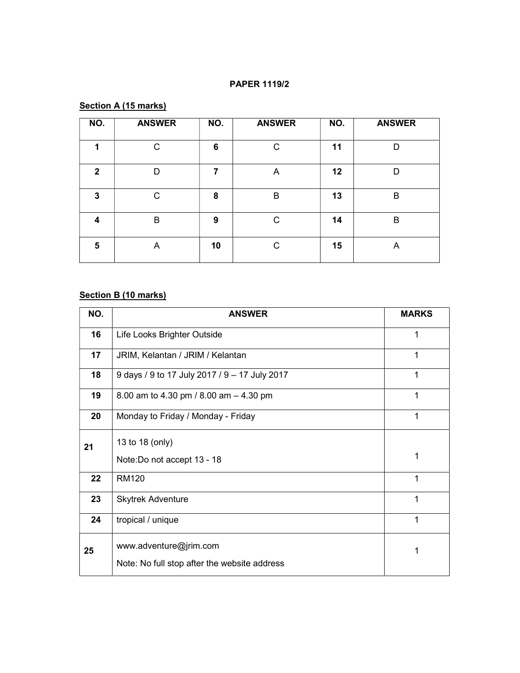#### PAPER 1119/2

#### Section A (15 marks)

| NO.          | <b>ANSWER</b> | NO. | <b>ANSWER</b> | NO. | <b>ANSWER</b> |
|--------------|---------------|-----|---------------|-----|---------------|
| 1            | С             | 6   | C             | 11  | D             |
| $\mathbf{2}$ | D             | 7   | A             | 12  | D             |
| 3            | C             | 8   | B             | 13  | B             |
| 4            | B             | 9   | $\mathsf{C}$  | 14  | B             |
| 5            | A             | 10  | C             | 15  | A             |

#### Section B (10 marks)

| NO. | <b>ANSWER</b>                                 | <b>MARKS</b> |
|-----|-----------------------------------------------|--------------|
| 16  | Life Looks Brighter Outside                   | 1            |
| 17  | JRIM, Kelantan / JRIM / Kelantan              | 1            |
| 18  | 9 days / 9 to 17 July 2017 / 9 - 17 July 2017 | 1            |
| 19  | 8.00 am to 4.30 pm / 8.00 am - 4.30 pm        | 1            |
| 20  | Monday to Friday / Monday - Friday            | 1            |
| 21  | 13 to 18 (only)                               |              |
|     | Note: Do not accept 13 - 18                   | 1            |
| 22  | <b>RM120</b>                                  | 1            |
| 23  | <b>Skytrek Adventure</b>                      | 1            |
| 24  | tropical / unique                             | 1            |
| 25  | www.adventure@jrim.com                        | 1            |
|     | Note: No full stop after the website address  |              |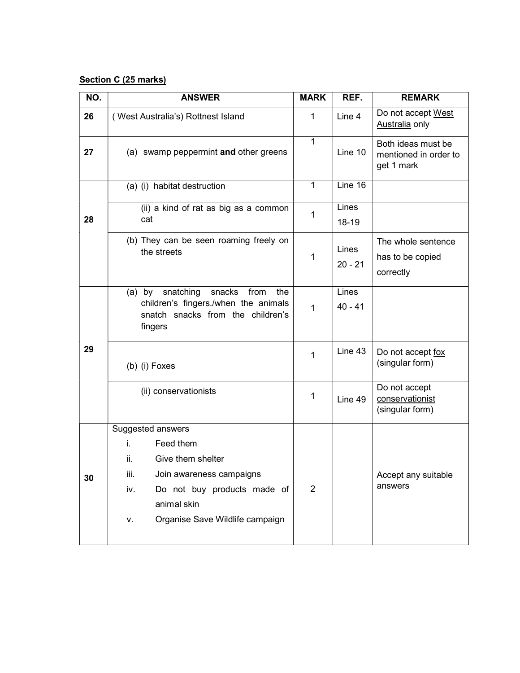#### Section C (25 marks)

| NO. | <b>ANSWER</b>                                                                                                                       | <b>MARK</b>    | REF.               | <b>REMARK</b>                                             |
|-----|-------------------------------------------------------------------------------------------------------------------------------------|----------------|--------------------|-----------------------------------------------------------|
| 26  | (West Australia's) Rottnest Island                                                                                                  |                | Line 4             | Do not accept West<br>Australia only                      |
| 27  | (a) swamp peppermint and other greens                                                                                               | $\mathbf{1}$   | Line 10            | Both ideas must be<br>mentioned in order to<br>get 1 mark |
|     | (a) (i) habitat destruction                                                                                                         | 1              | Line 16            |                                                           |
| 28  | (ii) a kind of rat as big as a common<br>cat                                                                                        | 1              | Lines<br>$18 - 19$ |                                                           |
|     | (b) They can be seen roaming freely on<br>the streets                                                                               | 1              | Lines<br>$20 - 21$ | The whole sentence<br>has to be copied<br>correctly       |
|     | snatching<br>snacks from<br>$(a)$ by<br>the<br>children's fingers./when the animals<br>snatch snacks from the children's<br>fingers | $\mathbf{1}$   | Lines<br>$40 - 41$ |                                                           |
| 29  | (b) (i) Foxes                                                                                                                       | 1              | Line 43            | Do not accept fox<br>(singular form)                      |
|     | (ii) conservationists                                                                                                               | 1              | Line 49            | Do not accept<br>conservationist<br>(singular form)       |
|     | Suggested answers                                                                                                                   |                |                    |                                                           |
|     | i.<br>Feed them                                                                                                                     |                |                    |                                                           |
|     | ii.<br>Give them shelter                                                                                                            |                |                    |                                                           |
| 30  | iii.<br>Join awareness campaigns                                                                                                    |                |                    | Accept any suitable<br>answers                            |
|     | Do not buy products made of<br>iv.<br>animal skin                                                                                   | $\overline{2}$ |                    |                                                           |
|     | Organise Save Wildlife campaign<br>۷.                                                                                               |                |                    |                                                           |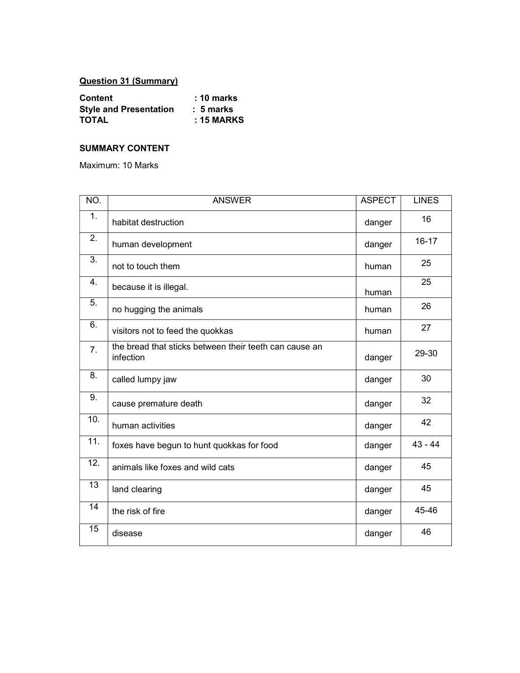## Question 31 (Summary)

| <b>Content</b>                | $: 10$ marks |
|-------------------------------|--------------|
| <b>Style and Presentation</b> | $: 5$ marks  |
| <b>TOTAL</b>                  | $: 15$ MARKS |

#### SUMMARY CONTENT

Maximum: 10 Marks

| NO.               | <b>ANSWER</b>                                                       | <b>ASPECT</b> | <b>LINES</b> |
|-------------------|---------------------------------------------------------------------|---------------|--------------|
| 1.                | habitat destruction                                                 | danger        | 16           |
| 2.                | human development                                                   | danger        | $16 - 17$    |
| 3.                | not to touch them                                                   | human         | 25           |
| 4.                | because it is illegal.                                              | human         | 25           |
| 5.                | no hugging the animals                                              | human         | 26           |
| 6.                | visitors not to feed the quokkas                                    | human         | 27           |
| 7.                | the bread that sticks between their teeth can cause an<br>infection | danger        | 29-30        |
| 8.                | called lumpy jaw                                                    | danger        | 30           |
| 9.                | cause premature death                                               | danger        | 32           |
| 10.               | human activities                                                    | danger        | 42           |
| $\overline{11}$ . | foxes have begun to hunt quokkas for food                           | danger        | $43 - 44$    |
| 12.               | animals like foxes and wild cats                                    | danger        | 45           |
| 13                | land clearing                                                       | danger        | 45           |
| 14                | the risk of fire                                                    | danger        | 45-46        |
| 15                | disease                                                             | danger        | 46           |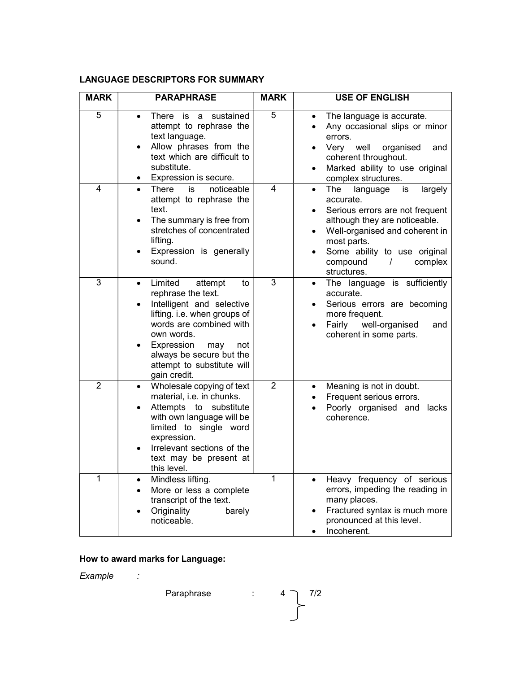#### LANGUAGE DESCRIPTORS FOR SUMMARY

| <b>MARK</b>    | <b>PARAPHRASE</b>                                                                                                                                                                                                                                                       | <b>MARK</b>    | <b>USE OF ENGLISH</b>                                                                                                                                                                                                                                                                       |
|----------------|-------------------------------------------------------------------------------------------------------------------------------------------------------------------------------------------------------------------------------------------------------------------------|----------------|---------------------------------------------------------------------------------------------------------------------------------------------------------------------------------------------------------------------------------------------------------------------------------------------|
| 5              | sustained<br>There<br><b>is</b><br>a<br>attempt to rephrase the<br>text language.<br>Allow phrases from the<br>$\bullet$<br>text which are difficult to<br>substitute.<br>Expression is secure.                                                                         | 5              | The language is accurate.<br>$\bullet$<br>Any occasional slips or minor<br>errors.<br>Very well<br>organised<br>and<br>coherent throughout.<br>Marked ability to use original<br>٠<br>complex structures.                                                                                   |
| 4              | noticeable<br>is<br>There<br>$\bullet$<br>attempt to rephrase the<br>text.<br>The summary is free from<br>$\bullet$<br>stretches of concentrated<br>lifting.<br>Expression is generally<br>sound.                                                                       | 4              | The<br>language<br>largely<br>is<br>$\bullet$<br>accurate.<br>Serious errors are not frequent<br>$\bullet$<br>although they are noticeable.<br>Well-organised and coherent in<br>$\bullet$<br>most parts.<br>Some ability to use original<br>compound<br>$\prime$<br>complex<br>structures. |
| 3              | Limited<br>attempt<br>to<br>$\bullet$<br>rephrase the text.<br>Intelligent and selective<br>lifting. i.e. when groups of<br>words are combined with<br>own words.<br>Expression<br>may<br>not<br>always be secure but the<br>attempt to substitute will<br>gain credit. | 3              | The language is sufficiently<br>٠<br>accurate.<br>Serious errors are becoming<br>more frequent.<br>Fairly<br>well-organised<br>and<br>coherent in some parts.                                                                                                                               |
| $\overline{2}$ | Wholesale copying of text<br>$\bullet$<br>material, i.e. in chunks.<br>Attempts to<br>substitute<br>٠<br>with own language will be<br>limited to single word<br>expression.<br>Irrelevant sections of the<br>text may be present at<br>this level.                      | $\overline{2}$ | Meaning is not in doubt.<br>$\bullet$<br>Frequent serious errors.<br>Poorly organised and lacks<br>٠<br>coherence.                                                                                                                                                                          |
| 1              | Mindless lifting.<br>$\bullet$<br>More or less a complete<br>$\bullet$<br>transcript of the text.<br>Originality<br>barely<br>noticeable.                                                                                                                               | 1              | Heavy frequency of serious<br>$\bullet$<br>errors, impeding the reading in<br>many places.<br>Fractured syntax is much more<br>pronounced at this level.<br>Incoherent.                                                                                                                     |

# How to award marks for Language:

Example :

Paraphrase :  $4 \times 7/2$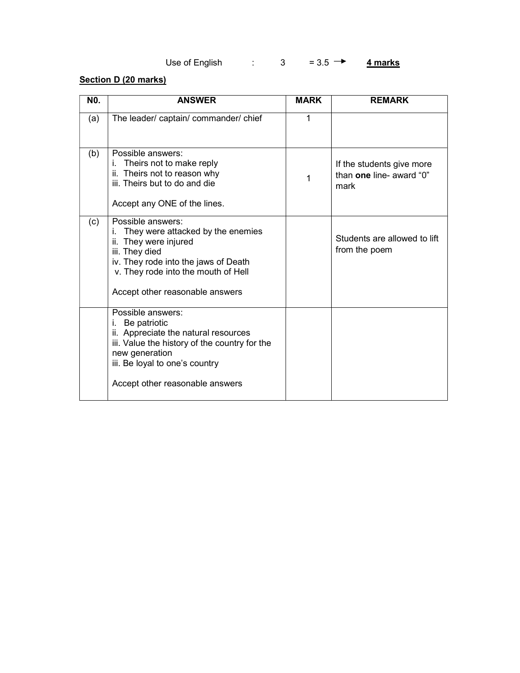# Use of English :  $3 = 3.5 \rightarrow 4 \text{ marks}$

### Section D (20 marks)

| N0. | <b>ANSWER</b>                                                                                                                                                                                                             | <b>MARK</b> | <b>REMARK</b>                                                 |
|-----|---------------------------------------------------------------------------------------------------------------------------------------------------------------------------------------------------------------------------|-------------|---------------------------------------------------------------|
| (a) | The leader/ captain/ commander/ chief                                                                                                                                                                                     | 1           |                                                               |
| (b) | Possible answers:<br>Theirs not to make reply<br>Theirs not to reason why<br>ii.<br>iii. Theirs but to do and die<br>Accept any ONE of the lines.                                                                         | 1           | If the students give more<br>than one line- award "0"<br>mark |
| (c) | Possible answers:<br>They were attacked by the enemies<br>i.<br>ii. They were injured<br>iii. They died<br>iv. They rode into the jaws of Death<br>v. They rode into the mouth of Hell<br>Accept other reasonable answers |             | Students are allowed to lift<br>from the poem                 |
|     | Possible answers:<br>i.<br>Be patriotic<br>ii. Appreciate the natural resources<br>iii. Value the history of the country for the<br>new generation<br>iii. Be loyal to one's country<br>Accept other reasonable answers   |             |                                                               |